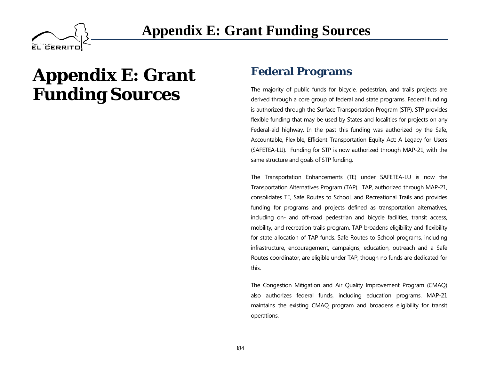

### **Federal Programs**

The majority of public funds for bicycle, pedestrian, and trails projects are derived through a core group of federal and state programs. Federal funding is authorized through the Surface Transportation Program (STP). STP provides flexible funding that may be used by States and localities for projects on any Federal-aid highway. In the past this funding was authorized by the Safe, Accountable, Flexible, Efficient Transportation Equity Act: A Legacy for Users (SAFETEA-LU). Funding for STP is now authorized through MAP-21, with the same structure and goals of STP funding.

The Transportation Enhancements (TE) under SAFETEA-LU is now the Transportation Alternatives Program (TAP). TAP, authorized through MAP-21, consolidates TE, Safe Routes to School, and Recreational Trails and provides funding for programs and projects defined as transportation alternatives, including on- and off-road pedestrian and bicycle facilities, transit access, mobility, and recreation trails program. TAP broadens eligibility and flexibility for state allocation of TAP funds. Safe Routes to School programs, including infrastructure, encouragement, campaigns, education, outreach and a Safe Routes coordinator, are eligible under TAP, though no funds are dedicated for this.

The Congestion Mitigation and Air Quality Improvement Program (CMAQ) also authorizes federal funds, including education programs. MAP-21 maintains the existing CMAQ program and broadens eligibility for transit operations.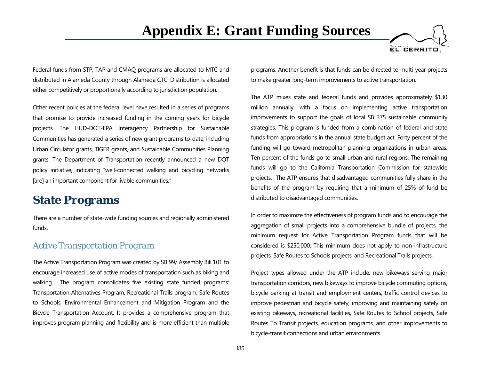

Federal funds from STP, TAP and CMAQ programs are allocated to MTC and distributed in Alameda County through Alameda CTC. Distribution is allocated either competitively or proportionally according to jurisdiction population.

Other recent policies at the federal level have resulted in a series of programs that promise to provide increased funding in the coming years for bicycle projects. The HUD-DOT-EPA Interagency Partnership for Sustainable Communities has generated a series of new grant programs to-date, including Urban Circulator grants, TIGER grants, and Sustainable Communities Planning grants. The Department of Transportation recently announced a new DOT policy initiative, indicating "well-connected walking and bicycling networks [are] an important component for livable communities."

### **State Programs**

There are a number of state-wide funding sources and regionally administered funds.

#### *Active Transportation Program*

The Active Transportation Program was created by SB 99/ Assembly Bill 101 to encourage increased use of active modes of transportation such as biking and walking. The program consolidates five existing state funded programs: Transportation Alternatives Program, Recreational Trails program, Safe Routes to Schools, Environmental Enhancement and Mitigation Program and the Bicycle Transportation Account. It provides a comprehensive program that improves program planning and flexibility and is more efficient than multiple programs. Another benefit is that funds can be directed to multi-year projects to make greater long-term improvements to active transportation.

The ATP mixes state and federal funds and provides approximately \$130 million annually, with a focus on implementing active transportation improvements to support the goals of local SB 375 sustainable community strategies. This program is funded from a combination of federal and state funds from appropriations in the annual state budget act. Forty percent of the funding will go toward metropolitan planning organizations in urban areas. Ten percent of the funds go to small urban and rural regions. The remaining funds will go to the California Transportation Commission for statewide projects. The ATP ensures that disadvantaged communities fully share in the benefits of the program by requiring that a minimum of 25% of fund be distributed to disadvantaged communities.

In order to maximize the effectiveness of program funds and to encourage the aggregation of small projects into a comprehensive bundle of projects, the minimum request for Active Transportation Program funds that will be considered is \$250,000. This minimum does not apply to non-infrastructure projects, Safe Routes to Schools projects, and Recreational Trails projects.

Project types allowed under the ATP include: new bikeways serving major transportation corridors, new bikeways to improve bicycle commuting options, bicycle parking at transit and employment centers, traffic control devices to improve pedestrian and bicycle safety, improving and maintaining safety on existing bikeways, recreational facilities, Safe Routes to School projects, Safe Routes To Transit projects, education programs, and other improvements to bicycle-transit connections and urban environments.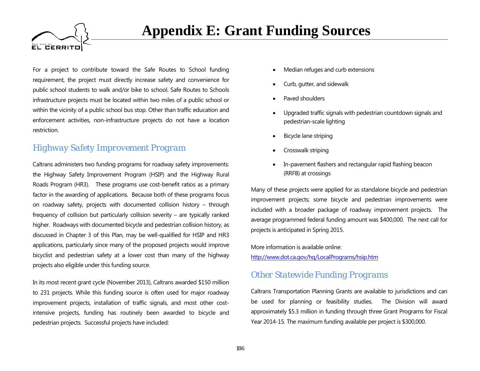

For a project to contribute toward the Safe Routes to School funding requirement, the project must directly increase safety and convenience for public school students to walk and/or bike to school. Safe Routes to Schools infrastructure projects must be located within two miles of a public school or within the vicinity of a public school bus stop. Other than traffic education and enforcement activities, non-infrastructure projects do not have a location restriction.

#### *Highway Safety Improvement Program*

Caltrans administers two funding programs for roadway safety improvements: the Highway Safety Improvement Program (HSIP) and the Highway Rural Roads Program (HR3). These programs use cost-benefit ratios as a primary factor in the awarding of applications. Because both of these programs focus on roadway safety, projects with documented collision history – through frequency of collision but particularly collision severity – are typically ranked higher. Roadways with documented bicycle and pedestrian collision history, as discussed in Chapter 3 of this Plan, may be well-qualified for HSIP and HR3 applications, particularly since many of the proposed projects would improve bicyclist and pedestrian safety at a lower cost than many of the highway projects also eligible under this funding source.

In its most recent grant cycle (November 2013), Caltrans awarded \$150 million to 231 projects. While this funding source is often used for major roadway improvement projects, installation of traffic signals, and most other costintensive projects, funding has routinely been awarded to bicycle and pedestrian projects. Successful projects have included:

- Median refuges and curb extensions
- Curb, gutter, and sidewalk
- Paved shoulders
- Upgraded traffic signals with pedestrian countdown signals and pedestrian-scale lighting
- Bicycle lane striping
- Crosswalk striping
- In-pavement flashers and rectangular rapid flashing beacon (RRFB) at crossings

Many of these projects were applied for as standalone bicycle and pedestrian improvement projects; some bicycle and pedestrian improvements were included with a broader package of roadway improvement projects. The average programmed federal funding amount was \$400,000. The next call for projects is anticipated in Spring 2015.

More information is available online: <http://www.dot.ca.gov/hq/LocalPrograms/hsip.htm>

#### *Other Statewide Funding Programs*

Caltrans Transportation Planning Grants are available to jurisdictions and can be used for planning or feasibility studies. The Division will award approximately \$5.3 million in funding through three Grant Programs for Fiscal Year 2014-15. The maximum funding available per project is \$300,000.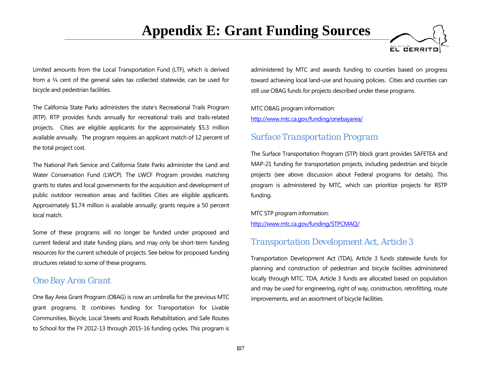

Limited amounts from the Local Transportation Fund (LTF), which is derived from a ¼ cent of the general sales tax collected statewide, can be used for bicycle and pedestrian facilities.

The California State Parks administers the state's Recreational Trails Program (RTP). RTP provides funds annually for recreational trails and trails-related projects. Cities are eligible applicants for the approximately \$5.3 million available annually. The program requires an applicant match of 12 percent of the total project cost.

The National Park Service and California State Parks administer the Land and Water Conservation Fund (LWCP). The LWCF Program provides matching grants to states and local governments for the acquisition and development of public outdoor recreation areas and facilities Cities are eligible applicants. Approximately \$1.74 million is available annually; grants require a 50 percent local match.

Some of these programs will no longer be funded under proposed and current federal and state funding plans, and may only be short-term funding resources for the current schedule of projects. See below for proposed funding structures related to some of these programs.

#### *One Bay Area Grant*

One Bay Area Grant Program (OBAG) is now an umbrella for the previous MTC grant programs. It combines funding for Transportation for Livable Communities, Bicycle, Local Streets and Roads Rehabilitation, and Safe Routes to School for the FY 2012-13 through 2015-16 funding cycles. This program is

administered by MTC and awards funding to counties based on progress toward achieving local land-use and housing policies. Cities and counties can still use OBAG funds for projects described under these programs.

MTC OBAG program information: <http://www.mtc.ca.gov/funding/onebayarea/>

#### *Surface Transportation Program*

The Surface Transportation Program (STP) block grant provides SAFETEA and MAP-21 funding for transportation projects, including pedestrian and bicycle projects (see above discussion about Federal programs for details). This program is administered by MTC, which can prioritize projects for RSTP funding.

MTC STP program information: <http://www.mtc.ca.gov/funding/STPCMAQ/>

#### *Transportation Development Act, Article 3*

Transportation Development Act (TDA), Article 3 funds statewide funds for planning and construction of pedestrian and bicycle facilities administered locally through MTC. TDA, Article 3 funds are allocated based on population and may be used for engineering, right of way, construction, retrofitting, route improvements, and an assortment of bicycle facilities.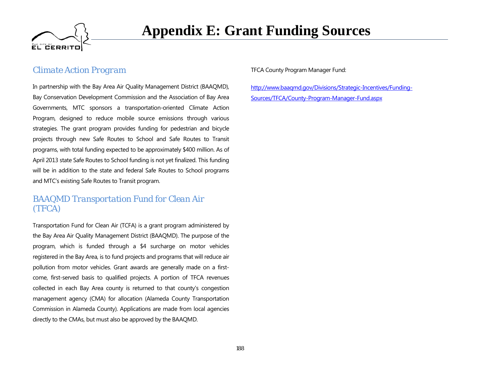

#### *Climate Action Program*

In partnership with the Bay Area Air Quality Management District (BAAQMD), Bay Conservation Development Commission and the Association of Bay Area Governments, MTC sponsors a transportation-oriented Climate Action Program, designed to reduce mobile source emissions through various strategies. The grant program provides funding for pedestrian and bicycle projects through new Safe Routes to School and Safe Routes to Transit programs, with total funding expected to be approximately \$400 million. As of April 2013 state Safe Routes to School funding is not yet finalized. This funding will be in addition to the state and federal Safe Routes to School programs and MTC's existing Safe Routes to Transit program.

#### *BAAQMD Transportation Fund for Clean Air (TFCA)*

Transportation Fund for Clean Air (TCFA) is a grant program administered by the Bay Area Air Quality Management District (BAAQMD). The purpose of the program, which is funded through a \$4 surcharge on motor vehicles registered in the Bay Area, is to fund projects and programs that will reduce air pollution from motor vehicles. Grant awards are generally made on a firstcome, first-served basis to qualified projects. A portion of TFCA revenues collected in each Bay Area county is returned to that county's congestion management agency (CMA) for allocation (Alameda County Transportation Commission in Alameda County). Applications are made from local agencies directly to the CMAs, but must also be approved by the BAAQMD.

#### TFCA County Program Manager Fund:

[http://www.baaqmd.gov/Divisions/Strategic-Incentives/Funding-](http://www.baaqmd.gov/Divisions/Strategic-Incentives/Funding-Sources/TFCA/County-Program-Manager-Fund.aspx)[Sources/TFCA/County-Program-Manager-Fund.aspx](http://www.baaqmd.gov/Divisions/Strategic-Incentives/Funding-Sources/TFCA/County-Program-Manager-Fund.aspx)